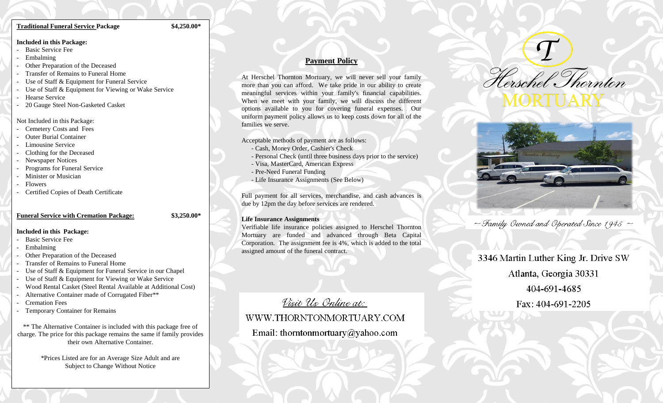#### **Traditional Funeral Service Package \$4,250.00\***

#### **Included in this Package:**

- Basic Service Fee
- **Embalming**
- Other Preparation of the Deceased
- Transfer of Remains to Funeral Home
- Use of Staff & Equipment for Funeral Service
- Use of Staff & Equipment for Viewing or Wake Service
- Hearse Service
- 20 Gauge Steel Non-Gasketed Casket

#### Not Included in this Package:

- Cemetery Costs and Fees
- **Outer Burial Container**
- Limousine Service
- Clothing for the Deceased
- Newspaper Notices
- Programs for Funeral Service
- Minister or Musician
- **Flowers**
- Certified Copies of Death Certificate

### **Funeral Service with Cremation Package: \$3,250.00\***

### **Included in this Package:**

- Basic Service Fee
- **Embalming**
- Other Preparation of the Deceased
- Transfer of Remains to Funeral Home
- Use of Staff & Equipment for Funeral Service in our Chapel
- Use of Staff & Equipment for Viewing or Wake Service
- Wood Rental Casket (Steel Rental Available at Additional Cost)
- Alternative Container made of Corrugated Fiber\*\*
- Cremation Fees
- Temporary Container for Remains

\*\* The Alternative Container is included with this package free of charge. The price for this package remains the same if family provides their own Alternative Container.

> \*Prices Listed are for an Average Size Adult and are Subject to Change Without Notice

## **Payment Policy**

At Herschel Thornton Mortuary, we will never sell your family more than you can afford. We take pride in our ability to create meaningful services within your family's financial capabilities. When we meet with your family, we will discuss the different options available to you for covering funeral expenses. Our uniform payment policy allows us to keep costs down for all of the families we serve.

Acceptable methods of payment are as follows:

- Cash, Money Order, Cashier's Check
- Personal Check (until three business days prior to the service)
- Visa, MasterCard, American Express
- Pre-Need Funeral Funding
- Life Insurance Assignments (See Below)

Full payment for all services, merchandise, and cash advances is due by 12pm the day before services are rendered.

## **Life Insurance Assignments**

Verifiable life insurance policies assigned to Herschel Thornton Mortuary are funded and advanced through Beta Capital Corporation. The assignment fee is 4%, which is added to the total assigned amount of the funeral contract.

# Visit Us Online at:

## WWW.THORNTONMORTUARY.COM

Email: thorntonmortuary@yahoo.com





 $\sim$  Family Owned and Operated Since 1945  $\sim$ 

## 3346 Martin Luther King Jr. Drive SW

Atlanta, Georgia 30331

404-691-4685

Fax: 404-691-2205